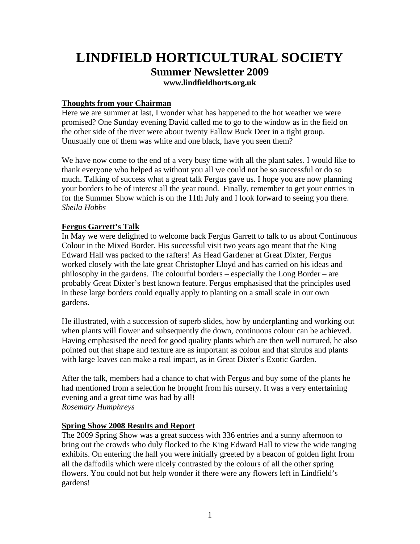# **LINDFIELD HORTICULTURAL SOCIETY Summer Newsletter 2009 [www.lindfieldhorts.org.uk](http://www.lindfieldhorts.org.uk/)**

## **Thoughts from your Chairman**

Here we are summer at last, I wonder what has happened to the hot weather we were promised? One Sunday evening David called me to go to the window as in the field on the other side of the river were about twenty Fallow Buck Deer in a tight group. Unusually one of them was white and one black, have you seen them?

We have now come to the end of a very busy time with all the plant sales. I would like to thank everyone who helped as without you all we could not be so successful or do so much. Talking of success what a great talk Fergus gave us. I hope you are now planning your borders to be of interest all the year round. Finally, remember to get your entries in for the Summer Show which is on the 11th July and I look forward to seeing you there. *Sheila Hobbs* 

### **Fergus Garrett's Talk**

In May we were delighted to welcome back Fergus Garrett to talk to us about Continuous Colour in the Mixed Border. His successful visit two years ago meant that the King Edward Hall was packed to the rafters! As Head Gardener at Great Dixter, Fergus worked closely with the late great Christopher Lloyd and has carried on his ideas and philosophy in the gardens. The colourful borders – especially the Long Border – are probably Great Dixter's best known feature. Fergus emphasised that the principles used in these large borders could equally apply to planting on a small scale in our own gardens.

He illustrated, with a succession of superb slides, how by underplanting and working out when plants will flower and subsequently die down, continuous colour can be achieved. Having emphasised the need for good quality plants which are then well nurtured, he also pointed out that shape and texture are as important as colour and that shrubs and plants with large leaves can make a real impact, as in Great Dixter's Exotic Garden.

After the talk, members had a chance to chat with Fergus and buy some of the plants he had mentioned from a selection he brought from his nursery. It was a very entertaining evening and a great time was had by all! *Rosemary Humphreys* 

#### **Spring Show 2008 Results and Report**

The 2009 Spring Show was a great success with 336 entries and a sunny afternoon to bring out the crowds who duly flocked to the King Edward Hall to view the wide ranging exhibits. On entering the hall you were initially greeted by a beacon of golden light from all the daffodils which were nicely contrasted by the colours of all the other spring flowers. You could not but help wonder if there were any flowers left in Lindfield's gardens!